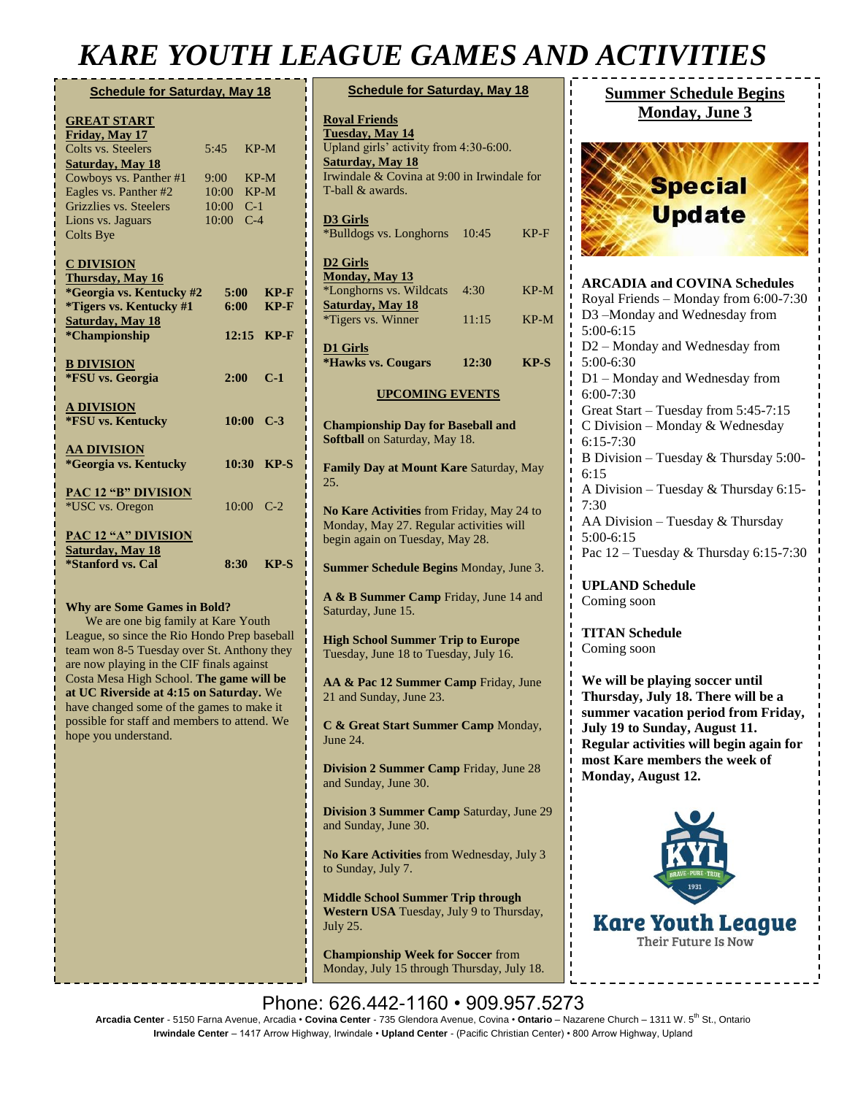## *KARE YOUTH LEAGUE GAMES AND ACTIVITIES*

| <b>Schedule for Saturday, May 18</b>          |            |       |             |  |
|-----------------------------------------------|------------|-------|-------------|--|
| <b>GREAT START</b>                            |            |       |             |  |
| Friday, May 17                                |            |       |             |  |
| Colts vs. Steelers                            | 5:45       |       | $KP-M$      |  |
| <b>Saturday, May 18</b>                       |            |       |             |  |
| Cowboys vs. Panther #1                        | 9:00       |       | $KP-M$      |  |
| Eagles vs. Panther #2                         | 10:00      |       | $KP-M$      |  |
| Grizzlies vs. Steelers                        | 10:00      | $C-1$ |             |  |
| Lions vs. Jaguars                             | 10:00      | $C-4$ |             |  |
| <b>Colts Bye</b>                              |            |       |             |  |
| <b>C DIVISION</b>                             |            |       |             |  |
| Thursday, May 16                              |            |       |             |  |
| *Georgia vs. Kentucky #2                      | $5:00^{-}$ |       | $KP-F$      |  |
| <i>*Tigers vs. Kentucky #1</i>                | $6:00^{-}$ |       | $KP-F$      |  |
| <b>Saturday</b> , May 18                      |            |       |             |  |
| *Championship                                 |            | 12:15 | $KP-F$      |  |
|                                               |            |       |             |  |
| <b>B DIVISION</b>                             |            |       |             |  |
| *FSU vs. Georgia                              | $2:00^{-}$ |       | $C-1$       |  |
|                                               |            |       |             |  |
| <b>A DIVISION</b>                             |            |       |             |  |
| *FSU vs. Kentucky                             |            |       | $10:00$ C-3 |  |
|                                               |            |       |             |  |
| <b>AA DIVISION</b>                            |            |       |             |  |
| *Georgia vs. Kentucky                         |            | 10:30 | $KP-S$      |  |
|                                               |            |       |             |  |
|                                               |            |       |             |  |
| <b>PAC 12 "B" DIVISION</b><br>*USC vs. Oregon |            |       | $10:00$ C-2 |  |
|                                               |            |       |             |  |
| <b>PAC 12 "A" DIVISION</b>                    |            |       |             |  |
| <b>Saturday</b> , May 18                      |            |       |             |  |
| <i><b>*Stanford vs. Cal</b></i>               |            | 8:30  | $KP-S$      |  |
|                                               |            |       |             |  |
|                                               |            |       |             |  |

#### **Why are Some Games in Bold?**

We are one big family at Kare Youth League, so since the Rio Hondo Prep baseball team won 8-5 Tuesday over St. Anthony they are now playing in the CIF finals against Costa Mesa High School. **The game will be at UC Riverside at 4:15 on Saturday.** We have changed some of the games to make it possible for staff and members to attend. We hope you understand.

|                        | JLAUUL UAMILD AIVI                                                                                                                                                                     |  |  |  |
|------------------------|----------------------------------------------------------------------------------------------------------------------------------------------------------------------------------------|--|--|--|
|                        | <b>Schedule for Saturday, May 18</b>                                                                                                                                                   |  |  |  |
|                        | <b>Royal Friends</b><br><b>Tuesday, May 14</b><br>Upland girls' activity from 4:30-6:00.<br><b>Saturday, May 18</b><br>Irwindale & Covina at 9:00 in Irwindale for<br>T-ball & awards. |  |  |  |
|                        | <b>D3</b> Girls<br>*Bulldogs vs. Longhorns<br>10:45<br>$KP-F$                                                                                                                          |  |  |  |
|                        | D <sub>2</sub> Girls<br>Monday, May 13<br>*Longhorns vs. Wildcats<br>4:30<br>$KP-M$<br><b>Saturday, May 18</b><br>*Tigers vs. Winner<br>11:15<br>$KP-M$                                |  |  |  |
|                        | <b>D1 Girls</b><br><i><b>*Hawks vs. Cougars</b></i><br>$KP-S$<br>12:30                                                                                                                 |  |  |  |
| <b>UPCOMING EVENTS</b> |                                                                                                                                                                                        |  |  |  |
|                        | <b>Championship Day for Baseball and</b><br>Softball on Saturday, May 18.                                                                                                              |  |  |  |
|                        | Family Day at Mount Kare Saturday, May<br>25.                                                                                                                                          |  |  |  |
|                        | No Kare Activities from Friday, May 24 to<br>Monday, May 27. Regular activities will<br>begin again on Tuesday, May 28.                                                                |  |  |  |
|                        | Summer Schedule Begins Monday, June 3.                                                                                                                                                 |  |  |  |
|                        | A & B Summer Camp Friday, June 14 and<br>Saturday, June 15.                                                                                                                            |  |  |  |
|                        | <b>High School Summer Trip to Europe</b><br>Tuesday, June 18 to Tuesday, July 16.                                                                                                      |  |  |  |
|                        | AA & Pac 12 Summer Camp Friday, June<br>21 and Sunday, June 23.                                                                                                                        |  |  |  |
|                        | C & Great Start Summer Camp Monday,<br>June 24.                                                                                                                                        |  |  |  |
|                        | <b>Division 2 Summer Camp Friday, June 28</b><br>and Sunday, June 30.                                                                                                                  |  |  |  |
|                        | <b>Division 3 Summer Camp Saturday, June 29</b><br>and Sunday, June 30.                                                                                                                |  |  |  |
|                        | No Kare Activities from Wednesday, July 3<br>to Sunday, July 7.                                                                                                                        |  |  |  |
|                        | <b>Middle School Summer Trip through</b><br>Western USA Tuesday, July 9 to Thursday,<br><b>July 25.</b>                                                                                |  |  |  |
|                        | <b>Championship Week for Soccer from</b><br>Monday, July 15 through Thursday, July 18.                                                                                                 |  |  |  |

### **Summer Schedule Begins Monday, June 3**



**ARCADIA and COVINA Schedules** Royal Friends – Monday from 6:00-7:30 D3 –Monday and Wednesday from 5:00-6:15 D2 – Monday and Wednesday from 5:00-6:30 D1 – Monday and Wednesday from 6:00-7:30 Great Start – Tuesday from 5:45-7:15 C Division – Monday & Wednesday 6:15-7:30 B Division – Tuesday & Thursday 5:00- 6:15 A Division – Tuesday & Thursday 6:15- 7:30 AA Division – Tuesday & Thursday 5:00-6:15 Pac 12 – Tuesday & Thursday 6:15-7:30

**UPLAND Schedule** Coming soon

**TITAN Schedule** Coming soon

**We will be playing soccer until Thursday, July 18. There will be a summer vacation period from Friday, July 19 to Sunday, August 11. Regular activities will begin again for most Kare members the week of Monday, August 12.** 



Phone: 626.442-1160 • 909.957.5273 **Arcadia Center** - 5150 Farna Avenue, Arcadia • **Covina Center** - 735 Glendora Avenue, Covina • **Ontario** – Nazarene Church – 1311 W. 5th St., Ontario **Irwindale Center** – 1417 Arrow Highway, Irwindale • **Upland Center** - (Pacific Christian Center) • 800 Arrow Highway, Upland